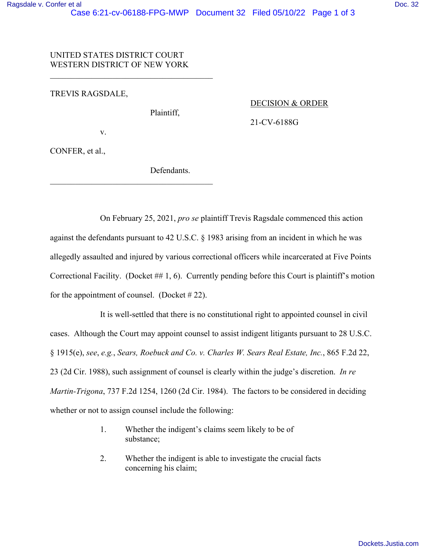# UNITED STATES DISTRICT COURT WESTERN DISTRICT OF NEW YORK

\_\_\_\_\_\_\_\_\_\_\_\_\_\_\_\_\_\_\_\_\_\_\_\_\_\_\_\_\_\_\_\_\_\_\_\_\_\_\_

## TREVIS RAGSDALE,

Plaintiff,

#### DECISION & ORDER

21-CV-6188G

v.

CONFER, et al.,

Defendants.

 On February 25, 2021, *pro se* plaintiff Trevis Ragsdale commenced this action against the defendants pursuant to 42 U.S.C. § 1983 arising from an incident in which he was allegedly assaulted and injured by various correctional officers while incarcerated at Five Points Correctional Facility. (Docket ## 1, 6). Currently pending before this Court is plaintiff's motion for the appointment of counsel. (Docket  $\# 22$ ).

 It is well-settled that there is no constitutional right to appointed counsel in civil cases. Although the Court may appoint counsel to assist indigent litigants pursuant to 28 U.S.C. § 1915(e), *see*, *e.g.*, *Sears, Roebuck and Co. v. Charles W. Sears Real Estate, Inc.*, 865 F.2d 22, 23 (2d Cir. 1988), such assignment of counsel is clearly within the judge's discretion. *In re Martin-Trigona*, 737 F.2d 1254, 1260 (2d Cir. 1984). The factors to be considered in deciding whether or not to assign counsel include the following:

- 1. Whether the indigent's claims seem likely to be of substance;
- 2. Whether the indigent is able to investigate the crucial facts concerning his claim;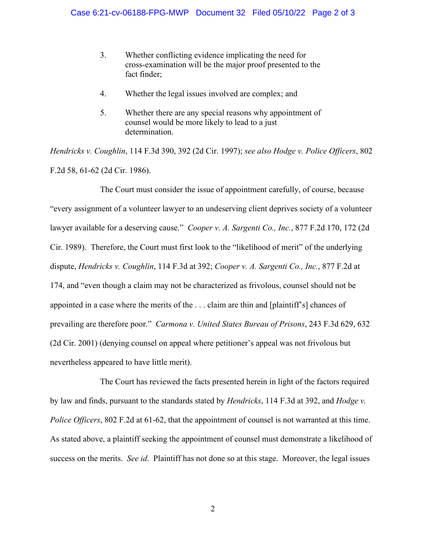- 3. Whether conflicting evidence implicating the need for cross-examination will be the major proof presented to the fact finder;
- 4. Whether the legal issues involved are complex; and
- 5. Whether there are any special reasons why appointment of counsel would be more likely to lead to a just determination.

*Hendricks v. Coughlin*, 114 F.3d 390, 392 (2d Cir. 1997); *see also Hodge v. Police Officers*, 802 F.2d 58, 61-62 (2d Cir. 1986).

 The Court must consider the issue of appointment carefully, of course, because "every assignment of a volunteer lawyer to an undeserving client deprives society of a volunteer lawyer available for a deserving cause." *Cooper v. A. Sargenti Co., Inc.*, 877 F.2d 170, 172 (2d Cir. 1989). Therefore, the Court must first look to the "likelihood of merit" of the underlying dispute, *Hendricks v. Coughlin*, 114 F.3d at 392; *Cooper v. A. Sargenti Co., Inc.*, 877 F.2d at 174, and "even though a claim may not be characterized as frivolous, counsel should not be appointed in a case where the merits of the . . . claim are thin and [plaintiff's] chances of prevailing are therefore poor." *Carmona v. United States Bureau of Prisons*, 243 F.3d 629, 632 (2d Cir. 2001) (denying counsel on appeal where petitioner's appeal was not frivolous but nevertheless appeared to have little merit).

 The Court has reviewed the facts presented herein in light of the factors required by law and finds, pursuant to the standards stated by *Hendricks*, 114 F.3d at 392, and *Hodge v. Police Officers*, 802 F.2d at 61-62, that the appointment of counsel is not warranted at this time. As stated above, a plaintiff seeking the appointment of counsel must demonstrate a likelihood of success on the merits. *See id*. Plaintiff has not done so at this stage. Moreover, the legal issues